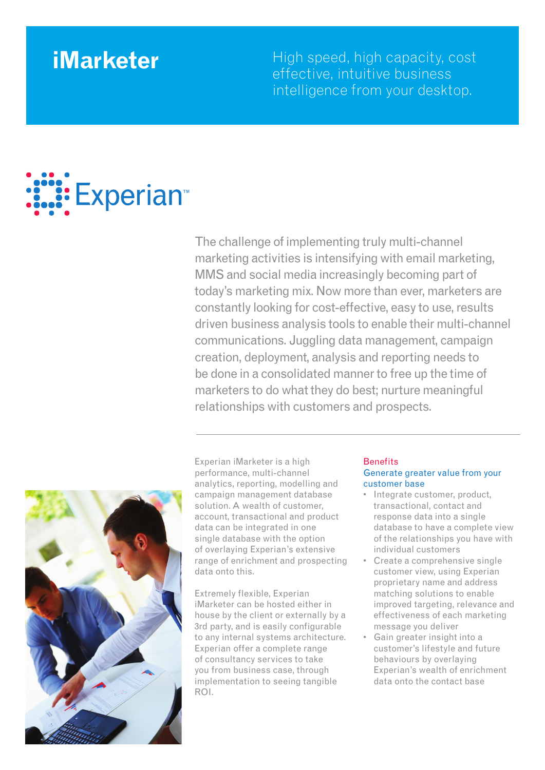**iMarketer** High speed, high capacity, cost effective, intuitive business intelligence from your desktop.

# Experian<sup>™</sup>

The challenge of implementing truly multi-channel marketing activities is intensifying with email marketing, MMS and social media increasingly becoming part of today's marketing mix. Now more than ever, marketers are constantly looking for cost-effective, easy to use, results driven business analysis tools to enable their multi-channel communications. Juggling data management, campaign creation, deployment, analysis and reporting needs to be done in a consolidated manner to free up the time of marketers to do what they do best; nurture meaningful relationships with customers and prospects.



Experian iMarketer is a high performance, multi-channel analytics, reporting, modelling and campaign management database solution. A wealth of customer, account, transactional and product data can be integrated in one single database with the option of overlaying Experian's extensive range of enrichment and prospecting data onto this.

Extremely flexible, Experian iMarketer can be hosted either in house by the client or externally by a 3rd party, and is easily configurable to any internal systems architecture. Experian offer a complete range of consultancy services to take you from business case, through implementation to seeing tangible ROI.

### **Benefits** Generate greater value from your customer base

- Integrate customer, product, transactional, contact and response data into a single database to have a complete view of the relationships you have with individual customers
- • Create a comprehensive single customer view, using Experian proprietary name and address matching solutions to enable improved targeting, relevance and effectiveness of each marketing message you deliver
- Gain greater insight into a customer's lifestyle and future behaviours by overlaying Experian's wealth of enrichment data onto the contact base